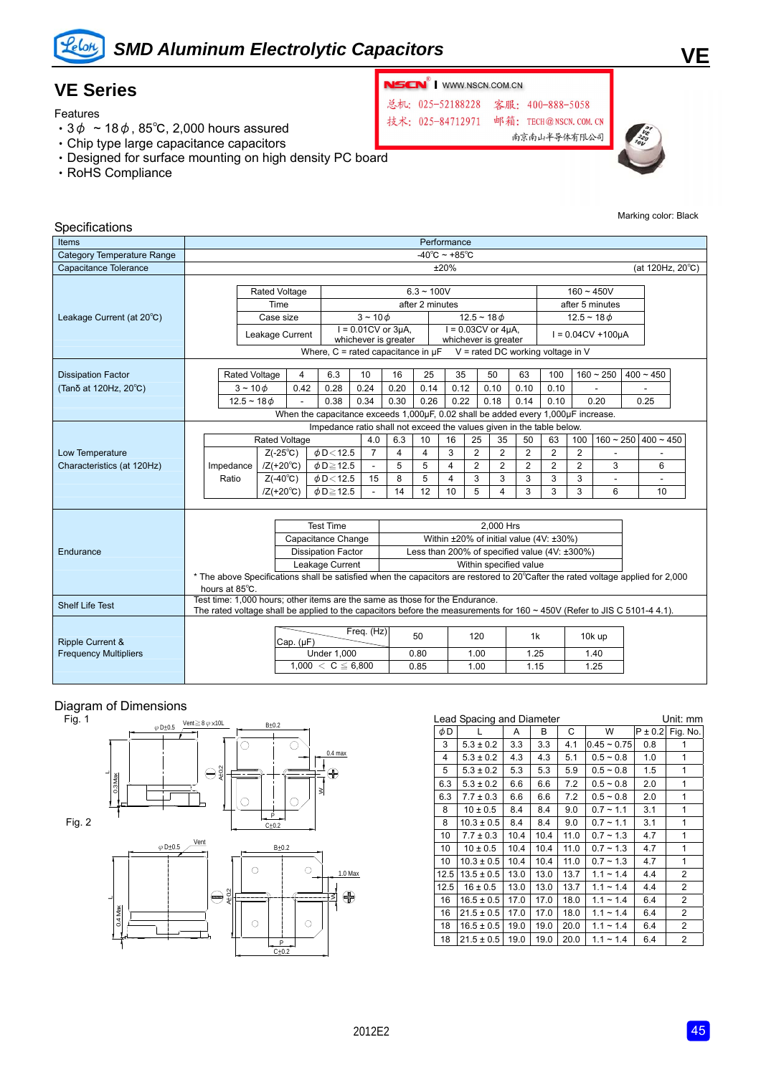

## *SMD Aluminum Electrolytic Capacitors*

### **VE Series**

Features

- 3 $\phi \sim 18\phi$ , 85°C, 2,000 hours assured
- ‧Chip type large capacitance capacitors
- ‧Designed for surface mounting on high density PC board
- ‧RoHS Compliance





Marking color: Black

**VE**

#### **Specifications**

| poomoanomo                        |                                                                                   |                                                                                                                                 |                           |                |                                                                       |                                                    |                                                      |                                                     |      |                |                                                    |                                     |                |                  |                      |  |             |  |
|-----------------------------------|-----------------------------------------------------------------------------------|---------------------------------------------------------------------------------------------------------------------------------|---------------------------|----------------|-----------------------------------------------------------------------|----------------------------------------------------|------------------------------------------------------|-----------------------------------------------------|------|----------------|----------------------------------------------------|-------------------------------------|----------------|------------------|----------------------|--|-------------|--|
| Items                             |                                                                                   | Performance                                                                                                                     |                           |                |                                                                       |                                                    |                                                      |                                                     |      |                |                                                    |                                     |                |                  |                      |  |             |  |
| <b>Category Temperature Range</b> |                                                                                   | $-40^{\circ}$ C ~ +85 $^{\circ}$ C                                                                                              |                           |                |                                                                       |                                                    |                                                      |                                                     |      |                |                                                    |                                     |                |                  |                      |  |             |  |
| Capacitance Tolerance             |                                                                                   | ±20%<br>(at 120Hz, $20^{\circ}$ C)                                                                                              |                           |                |                                                                       |                                                    |                                                      |                                                     |      |                |                                                    |                                     |                |                  |                      |  |             |  |
|                                   |                                                                                   |                                                                                                                                 |                           |                |                                                                       |                                                    |                                                      |                                                     |      |                |                                                    |                                     |                |                  |                      |  |             |  |
|                                   |                                                                                   |                                                                                                                                 | Rated Voltage             |                |                                                                       | $6.3 - 100V$                                       |                                                      |                                                     |      | $160 - 450V$   |                                                    |                                     |                |                  |                      |  |             |  |
|                                   |                                                                                   |                                                                                                                                 | Time                      |                |                                                                       |                                                    | after 2 minutes                                      |                                                     |      |                |                                                    |                                     |                | after 5 minutes  |                      |  |             |  |
| Leakage Current (at 20°C)         |                                                                                   |                                                                                                                                 | Case size                 |                |                                                                       | $3 - 100$                                          |                                                      |                                                     |      |                | $12.5 - 18 \phi$                                   |                                     |                | $12.5 - 18 \phi$ |                      |  |             |  |
|                                   |                                                                                   |                                                                                                                                 | Leakage Current           |                |                                                                       | $I = 0.01CV$ or $3\mu A$ ,<br>whichever is greater |                                                      |                                                     |      |                | $I = 0.03CV$ or $4\mu A$ ,<br>whichever is greater |                                     |                |                  | $I = 0.04CV + 100UA$ |  |             |  |
|                                   |                                                                                   |                                                                                                                                 |                           |                | Where, $C =$ rated capacitance in $\mu$ F                             |                                                    |                                                      |                                                     |      |                |                                                    | $V =$ rated DC working voltage in V |                |                  |                      |  |             |  |
|                                   |                                                                                   |                                                                                                                                 |                           |                |                                                                       |                                                    |                                                      |                                                     |      |                |                                                    |                                     |                |                  |                      |  |             |  |
| <b>Dissipation Factor</b>         |                                                                                   | <b>Rated Voltage</b>                                                                                                            |                           | 4              | 6.3                                                                   | 10                                                 | 16                                                   | 25                                                  | 35   |                | 50                                                 | 63                                  | 100            |                  | $160 - 250$          |  | $400 - 450$ |  |
| (Tanδ at 120Hz, 20°C)             |                                                                                   | $3 - 100$                                                                                                                       |                           | 0.42           | 0.28                                                                  | 0.24                                               | 0.20                                                 | 0.14                                                | 0.12 |                | 0.10                                               | 0.10                                | 0.10           |                  |                      |  |             |  |
|                                   |                                                                                   | $12.5 - 18$ $\phi$                                                                                                              |                           |                | 0.38                                                                  | 0.34                                               | 0.30                                                 | 0.26                                                | 0.22 |                | 0.18                                               | 0.14                                | 0.10           |                  | 0.20                 |  | 0.25        |  |
|                                   | When the capacitance exceeds 1,000µF, 0.02 shall be added every 1,000µF increase. |                                                                                                                                 |                           |                |                                                                       |                                                    |                                                      |                                                     |      |                |                                                    |                                     |                |                  |                      |  |             |  |
|                                   |                                                                                   |                                                                                                                                 |                           |                | Impedance ratio shall not exceed the values given in the table below. |                                                    |                                                      |                                                     |      |                |                                                    |                                     |                |                  |                      |  |             |  |
|                                   |                                                                                   |                                                                                                                                 | <b>Rated Voltage</b>      |                |                                                                       | 4.0                                                | 6.3                                                  | 10                                                  | 16   | 25             | 35                                                 | 50                                  | 63             | 100              | $160 - 250$          |  | $400 - 450$ |  |
| Low Temperature                   |                                                                                   |                                                                                                                                 | $Z(-25^{\circ}C)$         |                | $\phi$ D < 12.5                                                       | $\overline{7}$                                     | 4                                                    | 4                                                   | 3    | $\overline{2}$ | $\overline{2}$                                     | $\overline{2}$                      | $\overline{2}$ | $\overline{2}$   |                      |  |             |  |
| Characteristics (at 120Hz)        |                                                                                   | Impedance                                                                                                                       | $/Z(+20^{\circ}\text{C})$ |                | $\phi$ D $\geq$ 12.5                                                  |                                                    | 5                                                    | 5                                                   | 4    | $\overline{2}$ | $\overline{2}$                                     | $\overline{2}$                      | $\overline{2}$ | $\overline{2}$   | 3                    |  | 6           |  |
|                                   |                                                                                   | Ratio                                                                                                                           | $Z(-40^{\circ}C)$         |                | $\phi$ D < 12.5                                                       | 15                                                 | 8                                                    | 5                                                   | 4    | 3              | 3                                                  | 3                                   | 3              | 3                |                      |  |             |  |
|                                   |                                                                                   |                                                                                                                                 | $/Z(+20^{\circ}C)$        |                | $\phi$ D $\geq$ 12.5                                                  |                                                    | 14                                                   | 12                                                  | 10   | 5              | 4                                                  | 3                                   | 3              | 3                | 6                    |  | 10          |  |
|                                   |                                                                                   |                                                                                                                                 |                           |                |                                                                       |                                                    |                                                      |                                                     |      |                |                                                    |                                     |                |                  |                      |  |             |  |
|                                   |                                                                                   |                                                                                                                                 |                           |                | <b>Test Time</b>                                                      |                                                    |                                                      |                                                     |      |                |                                                    |                                     |                |                  |                      |  |             |  |
|                                   |                                                                                   |                                                                                                                                 |                           |                |                                                                       |                                                    | 2.000 Hrs<br>Within ±20% of initial value (4V: ±30%) |                                                     |      |                |                                                    |                                     |                |                  |                      |  |             |  |
|                                   | Capacitance Change<br><b>Dissipation Factor</b>                                   |                                                                                                                                 |                           |                |                                                                       |                                                    |                                                      | Less than 200% of specified value $(4V: \pm 300\%)$ |      |                |                                                    |                                     |                |                  |                      |  |             |  |
| Endurance                         |                                                                                   |                                                                                                                                 |                           |                |                                                                       |                                                    |                                                      |                                                     |      |                |                                                    | Within specified value              |                |                  |                      |  |             |  |
|                                   |                                                                                   | * The above Specifications shall be satisfied when the capacitors are restored to 20°Cafter the rated voltage applied for 2,000 |                           |                | Leakage Current                                                       |                                                    |                                                      |                                                     |      |                |                                                    |                                     |                |                  |                      |  |             |  |
|                                   |                                                                                   | hours at 85°C.                                                                                                                  |                           |                |                                                                       |                                                    |                                                      |                                                     |      |                |                                                    |                                     |                |                  |                      |  |             |  |
|                                   |                                                                                   | Test time: 1,000 hours; other items are the same as those for the Endurance.                                                    |                           |                |                                                                       |                                                    |                                                      |                                                     |      |                |                                                    |                                     |                |                  |                      |  |             |  |
| <b>Shelf Life Test</b>            |                                                                                   | The rated voltage shall be applied to the capacitors before the measurements for $160 \sim 450V$ (Refer to JIS C 5101-4 4.1).   |                           |                |                                                                       |                                                    |                                                      |                                                     |      |                |                                                    |                                     |                |                  |                      |  |             |  |
|                                   |                                                                                   |                                                                                                                                 |                           |                |                                                                       |                                                    |                                                      |                                                     |      |                |                                                    |                                     |                |                  |                      |  |             |  |
| Ripple Current &                  |                                                                                   |                                                                                                                                 |                           | Cap. $(\mu F)$ |                                                                       | Freq. (Hz)                                         |                                                      | 50                                                  | 120  |                |                                                    | 1k                                  |                | 10k up           |                      |  |             |  |
| <b>Frequency Multipliers</b>      |                                                                                   |                                                                                                                                 |                           |                | <b>Under 1.000</b>                                                    |                                                    |                                                      | 0.80                                                |      | 1.00           |                                                    | 1.25                                |                |                  | 1.40                 |  |             |  |
|                                   |                                                                                   |                                                                                                                                 |                           |                | $1,000 < C \leq 6,800$                                                |                                                    |                                                      | 0.85                                                |      | 1.00           |                                                    | 1.15                                |                |                  | 1.25                 |  |             |  |
|                                   |                                                                                   |                                                                                                                                 |                           |                |                                                                       |                                                    |                                                      |                                                     |      |                |                                                    |                                     |                |                  |                      |  |             |  |

# Diagram of Dimensions<br>Fig. 1



| Lead Spacing and Diameter<br>Unit: mm |                |      |      |      |                |             |                |  |  |  |
|---------------------------------------|----------------|------|------|------|----------------|-------------|----------------|--|--|--|
| φD                                    |                | A    | В    | C    | W              | $P \pm 0.2$ | Fig. No.       |  |  |  |
| 3                                     | $5.3 \pm 0.2$  | 3.3  | 3.3  | 4.1  | $0.45 - 0.75$  | 0.8         | 1              |  |  |  |
| 4                                     | $5.3 \pm 0.2$  | 4.3  | 4.3  | 5.1  | $0.5 - 0.8$    | 1.0         | 1              |  |  |  |
| 5                                     | $5.3 \pm 0.2$  | 5.3  | 5.3  | 5.9  | $0.5 - 0.8$    | 1.5         | 1              |  |  |  |
| 6.3                                   | $5.3 \pm 0.2$  | 6.6  | 6.6  | 7.2  | $0.5 - 0.8$    | 2.0         | 1              |  |  |  |
| 6.3                                   | $7.7 \pm 0.3$  | 6.6  | 6.6  | 7.2  | $0.5 - 0.8$    | 2.0         | 1              |  |  |  |
| 8                                     | $10 \pm 0.5$   | 8.4  | 8.4  | 9.0  | $0.7 - 1.1$    | 3.1         | 1              |  |  |  |
| 8                                     | $10.3 \pm 0.5$ | 8.4  | 8.4  | 9.0  | $0.7 - 1.1$    | 3.1         | 1              |  |  |  |
| 10                                    | $7.7 \pm 0.3$  | 10.4 | 10.4 | 11.0 | $0.7 - 1.3$    | 4.7         | 1              |  |  |  |
| 10                                    | $10 \pm 0.5$   | 10.4 | 10.4 | 11.0 | $0.7 - 1.3$    | 4.7         | 1              |  |  |  |
| 10                                    | $10.3 \pm 0.5$ | 10.4 | 10.4 | 11.0 | $0.7 - 1.3$    | 4.7         | 1              |  |  |  |
| 12.5                                  | $13.5 \pm 0.5$ | 13.0 | 13.0 | 13.7 | $1.1 \sim 1.4$ | 4.4         | 2              |  |  |  |
| 12.5                                  | $16 \pm 0.5$   | 13.0 | 13.0 | 13.7 | $1.1 \sim 1.4$ | 4.4         | 2              |  |  |  |
| 16                                    | $16.5 \pm 0.5$ | 17.0 | 17.0 | 18.0 | $1.1 \sim 1.4$ | 6.4         | $\overline{2}$ |  |  |  |
| 16                                    | $21.5 \pm 0.5$ | 17.0 | 17.0 | 18.0 | $1.1 \sim 1.4$ | 6.4         | $\overline{2}$ |  |  |  |
| 18                                    | $16.5 \pm 0.5$ | 19.0 | 19.0 | 20.0 | $1.1 - 1.4$    | 6.4         | 2              |  |  |  |
| 18                                    | $21.5 \pm 0.5$ | 19.0 | 19.0 | 20.0 | $1.1 \sim 1.4$ | 6.4         | $\overline{c}$ |  |  |  |
|                                       |                |      |      |      |                |             |                |  |  |  |

### **NSCN**<sup>®</sup> | WWW.NSCN.COM.CN